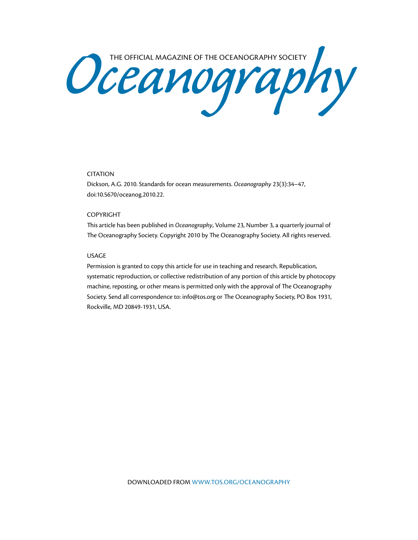Oceanography Society

### CITATION

Dickson, A.G. 2010. Standards for ocean measurements. *Oceanography* 23(3):34–47, doi:10.5670/oceanog.2010.22.

#### COPYRIGHT

This article has been published in *Oceanography*, Volume 23, Number 3, a quarterly journal of The Oceanography Society. Copyright 2010 by The Oceanography Society. All rights reserved.

#### USAGE

Permission is granted to copy this article for use in teaching and research. Republication, systematic reproduction, or collective redistribution of any portion of this article by photocopy machine, reposting, or other means is permitted only with the approval of The Oceanography Society. Send all correspondence to: info@tos.org or The Oceanography Society, PO Box 1931, Rockville, MD 20849-1931, USA.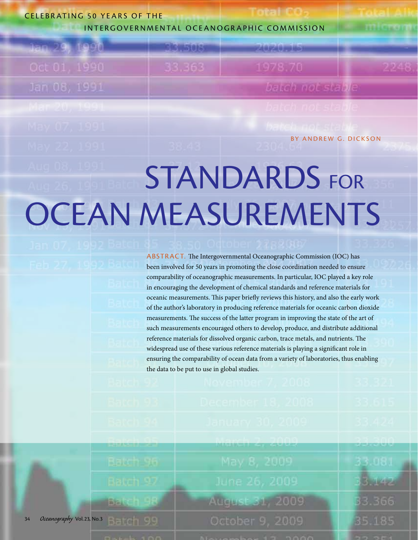CELEBRATING 50 YEARS OF THE

INTERGOVERNMENTAL OCEANOGRAPHIC COMMISSION

ian 29. Oct 01, 1990. Jan 08, 1991

33.363

508

1978.70

**AARAOFORGI** 

batch not stable

2248

BY ANDREW G. DICKSON

# **STANDARDS** FOR Ocean Measurements

ABSTRACT. The Intergovernmental Oceanographic Commission (IOC) has been involved for 50 years in promoting the close coordination needed to ensure comparability of oceanographic measurements. In particular, IOC played a key role in encouraging the development of chemical standards and reference materials for oceanic measurements. This paper briefly reviews this history, and also the early work of the author's laboratory in producing reference materials for oceanic carbon dioxide measurements. The success of the latter program in improving the state of the art of such measurements encouraged others to develop, produce, and distribute additional reference materials for dissolved organic carbon, trace metals, and nutrients. The widespread use of these various reference materials is playing a significant role in ensuring the comparability of ocean data from a variety of laboratories, thus enabling the data to be put to use in global studies.

34 *Oceanography* Vol.23, No.3 Batch 99

May 8, 2009 **August 31, 2009** October 9, 2009

a waw **Systems** 33.366 35.185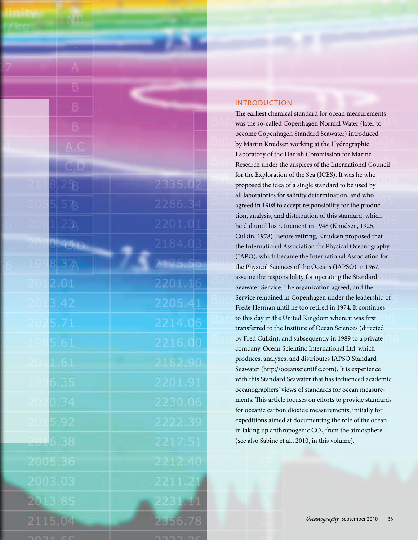|         | <b>FANTS</b>            |         |  |
|---------|-------------------------|---------|--|
|         |                         |         |  |
|         |                         |         |  |
|         | B                       |         |  |
|         | B                       |         |  |
|         | в                       |         |  |
|         | A,C                     |         |  |
|         | $\mathbb{C},\mathbb{D}$ |         |  |
|         | 258                     | 2335.02 |  |
| 205     | 57B                     | 2286.34 |  |
| 200     | 234                     | 2201.01 |  |
| 21010   | 9 43.D                  | 2184.03 |  |
| 199     | $8.37\text{\AA}$        | 2175.56 |  |
| 201     | 2.01                    | 2201.16 |  |
| 201     | 3,42                    | 2205.41 |  |
|         |                         |         |  |
| 1985.61 |                         | 2216.00 |  |
| 2011.61 |                         | 2182.90 |  |
| 99      | 6.35                    | 2201.91 |  |
| 2020.34 |                         | 2230.06 |  |
| 2015.92 |                         | 2222.39 |  |
|         | 6.38                    | 2217.51 |  |
| 2005.36 |                         | 2212.40 |  |
| 2003.03 |                         | 2211.21 |  |
| 2013.85 |                         | 2231,11 |  |
| 2115,04 |                         | 2356.78 |  |
|         |                         |         |  |

## **INTRODUCTION**

The earliest chemical standard for ocean measurements was the so-called Copenhagen Normal Water (later to become Copenhagen Standard Seawater) introduced by Martin Knudsen working at the Hydrographic Laboratory of the Danish Commission for Marine Research under the auspices of the International Council for the Exploration of the Sea (ICES). It was he who proposed the idea of a single standard to be used by all laboratories for salinity determination, and who agreed in 1908 to accept responsibility for the production, analysis, and distribution of this standard, which he did until his retirement in 1948 (Knudsen, 1925; Culkin, 1978). Before retiring, Knudsen proposed that the International Association for Physical Oceanography (IAPO), which became the International Association for the Physical Sciences of the Oceans (IAPSO) in 1967, assume the responsibility for operating the Standard Seawater Service. The organization agreed, and the Service remained in Copenhagen under the leadership of Frede Herman until he too retired in 1974. It continues to this day in the United Kingdom where it was first transferred to the Institute of Ocean Sciences (directed by Fred Culkin), and subsequently in 1989 to a private company, Ocean Scientific International Ltd, which produces, analyzes, and distributes IAPSO Standard Seawater (http://oceanscientific.com). It is experience with this Standard Seawater that has influenced academic oceanographers' views of standards for ocean measurements. This article focuses on efforts to provide standards for oceanic carbon dioxide measurements, initially for expeditions aimed at documenting the role of the ocean in taking up anthropogenic  $CO<sub>2</sub>$  from the atmosphere (see also Sabine et al., 2010, in this volume).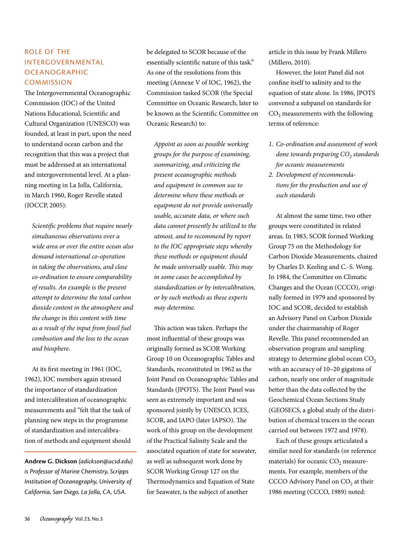# Role of the Intergovernmental **OCEANOGRAPHIC COMMISSION**

The Intergovernmental Oceanographic Commission (IOC) of the United Nations Educational, Scientific and Cultural Organization (UNESCO) was founded, at least in part, upon the need to understand ocean carbon and the recognition that this was a project that must be addressed at an international and intergovernmental level. At a planning meeting in La Jolla, California, in March 1960, Roger Revelle stated (IOCCP, 2005):

*Scientific problems that require nearly simultaneous observations over a wide area or over the entire ocean also demand international co-operation in taking the observations, and close co-ordination to ensure comparability of results. An example is the present attempt to determine the total carbon dioxide content in the atmosphere and the change in this content with time as a result of the input from fossil fuel combustion and the loss to the ocean and biosphere.*

At its first meeting in 1961 (IOC, 1962), IOC members again stressed the importance of standardization and intercalibration of oceanographic measurements and "felt that the task of planning new steps in the programme of standardization and intercalibration of methods and equipment should

**Andrew G. Dickson** *(adickson@ucsd.edu) is Professor of Marine Chemistry, Scripps Institution of Oceanography, University of California, San Diego, La Jolla, CA, USA.*

be delegated to SCOR because of the essentially scientific nature of this task." As one of the resolutions from this meeting (Annexe V of IOC, 1962), the Commission tasked SCOR (the Special Committee on Oceanic Research, later to be known as the Scientific Committee on Oceanic Research) to:

*Appoint as soon as possible working groups for the purpose of examining, summarizing, and criticizing the present oceanographic methods and equipment in common use to determine where these methods or equipment do not provide universally usable, accurate data, or where such data cannot presently be utilized to the utmost, and to recommend by report to the IOC appropriate steps whereby these methods or equipment should be made universally usable. This may in some cases be accomplished by standardization or by intercalibration, or by such methods as these experts may determine.*

This action was taken. Perhaps the most influential of these groups was originally formed as SCOR Working Group 10 on Oceanographic Tables and Standards, reconstituted in 1962 as the Joint Panel on Oceanographic Tables and Standards (JPOTS). The Joint Panel was seen as extremely important and was sponsored jointly by UNESCO, ICES, SCOR, and IAPO (later IAPSO). The work of this group on the development of the Practical Salinity Scale and the associated equation of state for seawater, as well as subsequent work done by SCOR Working Group 127 on the Thermodynamics and Equation of State for Seawater, is the subject of another

article in this issue by Frank Millero (Millero, 2010).

However, the Joint Panel did not confine itself to salinity and to the equation of state alone. In 1986, JPOTS convened a subpanel on standards for CO<sub>2</sub> measurements with the following terms of reference:

- *1. Co-ordination and assessment of work done towards preparing CO<sub>2</sub> standards for oceanic measurements*
- *2. Development of recommendations for the production and use of such standards*

At almost the same time, two other groups were constituted in related areas. In 1983, SCOR formed Working Group 75 on the Methodology for Carbon Dioxide Measurements, chaired by Charles D. Keeling and C.-S. Wong. In 1984, the Committee on Climatic Changes and the Ocean (CCCO), originally formed in 1979 and sponsored by IOC and SCOR, decided to establish anAdvisory Panel on Carbon Dioxide under the chairmanship of Roger Revelle. This panel recommended an observation program and sampling strategy to determine global ocean  $CO<sub>2</sub>$ with an accuracy of 10–20 gigatons of carbon, nearly one order of magnitude better than the data collected by the Geochemical Ocean Sections Study (GEOSECS, a global study of the distribution of chemical tracers in the ocean carried out between 1972 and 1978).

Each of these groups articulated a similar need for standards (or reference materials) for oceanic  $CO<sub>2</sub>$  measurements. For example, members of the CCCO Advisory Panel on CO<sub>2</sub> at their 1986 meeting (CCCO, 1989) noted: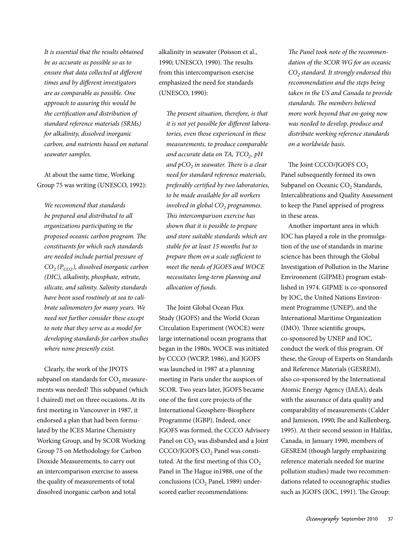*It is essential that the results obtained be as accurate as possible so as to ensure that data collected at different times and by different investigators are as comparable as possible. One approach to assuring this would be the certification and distribution of standard reference materials (SRMs) for alkalinity, dissolved inorganic carbon, and nutrients based on natural seawater samples.*

At about the same time, Working Group 75 was writing (UNESCO, 1992):

*We recommend that standards be prepared and distributed to all organizations participating in the proposed oceanic carbon program. The constituents for which such standards are needed include partial pressure of CO2 (PCO2 ), dissolved inorganic carbon (DIC), alkalinity, phosphate, nitrate, silicate, and salinity. Salinity standards have been used routinely at sea to calibrate salinometers for many years. We need not further consider these except to note that they serve as a model for developing standards for carbon studies where none presently exist.*

Clearly, the work of the JPOTS subpanel on standards for CO<sub>2</sub> measurements was needed! This subpanel (which I chaired) met on three occasions. At its first meeting in Vancouver in 1987, it endorsed a plan that had been formulated by the ICES Marine Chemistry Working Group, and by SCOR Working Group 75 on Methodology for Carbon Dioxide Measurements, to carry out an intercomparison exercise to assess the quality of measurements of total dissolved inorganic carbon and total

alkalinity in seawater (Poisson et al., 1990; UNESCO, 1990). The results from this intercomparison exercise emphasized the need for standards (UNESCO, 1990):

*The present situation, therefore, is that it is not yet possible for different laboratories, even those experienced in these measurements, to produce comparable and accurate data on TA, TCO<sub>2</sub>, pH and pCO<sub>2</sub> in seawater. There is a clear need for standard reference materials, preferably certified by two laboratories, to be made available for all workers involved in global CO<sub>2</sub> programmes. This intercomparison exercise has shown that it is possible to prepare and store suitable standards which are stable for at least 15 months but to prepare them on a scale sufficient to meet the needs of JGOFS and WOCE necessitates long-term planning and allocation of funds.*

The Joint Global Ocean Flux Study (JGOFS) and the World Ocean Circulation Experiment (WOCE) were large international ocean programs that began in the 1980s. WOCE was initiated by CCCO (WCRP, 1986), and JGOFS was launched in 1987 at a planning meeting in Paris under the auspices of SCOR. Two years later, JGOFS became one of the first core projects of the International Geosphere-Biosphere Programme (IGBP). Indeed, once JGOFS was formed, the CCCO Advisory Panel on CO<sub>2</sub> was disbanded and a Joint CCCO/JGOFS CO<sub>2</sub> Panel was constituted. At the first meeting of this  $CO<sub>2</sub>$ Panel in The Hague in1988, one of the conclusions  $(CO<sub>2</sub>$  Panel, 1989) underscored earlier recommendations:

*The Panel took note of the recommendation of the SCOR WG for an oceanic CO2 standard. It strongly endorsed this recommendation and the steps being taken in the US and Canada to provide standards. The members believed more work beyond that on-going now was needed to develop, produce and distribute working reference standards on a worldwide basis.*

The Joint CCCO/JGOFS CO<sub>2</sub> Panel subsequently formed its own Subpanel on Oceanic CO<sub>2</sub> Standards, Intercalibrations and Quality Assessment to keep the Panel apprised of progress in these areas.

Another important area in which IOC has played a role in the promulgation of the use of standards in marine science has been through the Global Investigation of Pollution in the Marine Environment (GIPME) program established in 1974. GIPME is co-sponsored by IOC, the United Nations Environment Programme (UNEP), and the International Maritime Organization (IMO). Three scientific groups, co-sponsored by UNEP and IOC, conduct the work of this program. Of these, the Group of Experts on Standards and Reference Materials (GESREM), also co-sponsored by the International Atomic Energy Agency (IAEA), deals with the assurance of data quality and comparability of measurements (Calder and Jamieson, 1990; Ibe and Kullenberg, 1995). At their second session in Halifax, Canada, in January 1990, members of GESREM (though largely emphasizing reference materials needed for marine pollution studies) made two recommendations related to oceanographic studies such as JGOFS (IOC, 1991). The Group: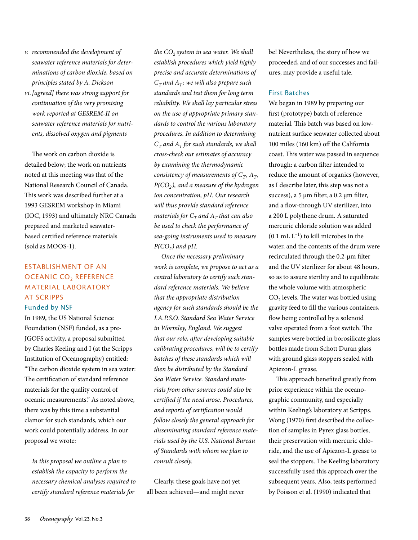- *v. recommended the development of seawater reference materials for determinations of carbon dioxide, based on principles stated by A. Dickson*
- *vi.[agreed] there was strong support for continuation of the very promising work reported at GESREM-II on seawater reference materials for nutrients, dissolved oxygen and pigments*

The work on carbon dioxide is detailed below; the work on nutrients noted at this meeting was that of the National Research Council of Canada. This work was described further at a 1993 GESREM workshop in Miami (IOC, 1993) and ultimately NRC Canada prepared and marketed seawaterbased certified reference materials (sold as MOOS-1).

# Establishment of an OCEANIC CO<sub>2</sub> REFERENCE MATERIAL LABORATORY **AT SCRIPPS** Funded by NSF

In 1989, the US National Science Foundation (NSF) funded, as a pre-JGOFS activity, a proposal submitted by Charles Keeling and I (at the Scripps Institution of Oceanography) entitled: "The carbon dioxide system in sea water: The certification of standard reference materials for the quality control of oceanic measurements." As noted above, there was by this time a substantial clamor for such standards, which our work could potentially address. In our proposal we wrote:

*In this proposal we outline a plan to establish the capacity to perform the necessary chemical analyses required to certify standard reference materials for* 

*the CO<sub>2</sub> system in sea water. We shall establish procedures which yield highly precise and accurate determinations of*   $C_T$  and  $A_T$ ; we will also prepare such *standards and test them for long term reliability. We shall lay particular stress on the use of appropriate primary standards to control the various laboratory procedures. In addition to determining*   $C_T$  and  $A_T$  for such standards, we shall *cross-check our estimates of accuracy by examining the thermodynamic consistency of measurements of*  $C_T$ ,  $A_T$ , *P*( $CO<sub>2</sub>$ *)*, and a measure of the hydrogen *ion concentration, pH. Our research will thus provide standard reference materials for*  $C_T$  *and*  $A_T$  *that can also be used to check the performance of sea-going instruments used to measure*   $P(CO<sub>2</sub>)$  and pH.

*Once the necessary preliminary work is complete, we propose to act as a central laboratory to certify such standard reference materials. We believe that the appropriate distribution agency for such standards should be the I.A.P.S.O. Standard Sea Water Service in Wormley, England. We suggest that our role, after developing suitable calibrating procedures, will be to certify batches of these standards which will then be distributed by the Standard Sea Water Service. Standard materials from other sources could also be certified if the need arose. Procedures, and reports of certification would follow closely the general approach for disseminating standard reference materials used by the U.S. National Bureau of Standards with whom we plan to consult closely.* 

Clearly, these goals have not yet all been achieved—and might never be! Nevertheless, the story of how we proceeded, and of our successes and failures, may provide a useful tale.

## First Batches

We began in 1989 by preparing our first (prototype) batch of reference material. This batch was based on lownutrient surface seawater collected about 100 miles (160 km) off the California coast. This water was passed in sequence through: a carbon filter intended to reduce the amount of organics (however, as I describe later, this step was not a success), a 5 μm filter, a 0.2 μm filter, and a flow-through UV sterilizer, into a 200 L polythene drum. A saturated mercuric chloride solution was added  $(0.1 \text{ mL L}^{-1})$  to kill microbes in the water, and the contents of the drum were recirculated through the 0.2-µm filter and the UV sterilizer for about 48 hours, so as to assure sterility and to equilibrate the whole volume with atmospheric  $CO<sub>2</sub>$  levels. The water was bottled using gravity feed to fill the various containers, flow being controlled by a solenoid valve operated from a foot switch. The samples were bottled in borosilicate glass bottles made from Schott Duran glass with ground glass stoppers sealed with Apiezon-L grease.

This approach benefited greatly from prior experience within the oceanographic community, and especially within Keeling's laboratory at Scripps. Wong (1970) first described the collection of samples in Pyrex glass bottles, their preservation with mercuric chloride, and the use of Apiezon-L grease to seal the stoppers. The Keeling laboratory successfully used this approach over the subsequent years. Also, tests performed by Poisson et al. (1990) indicated that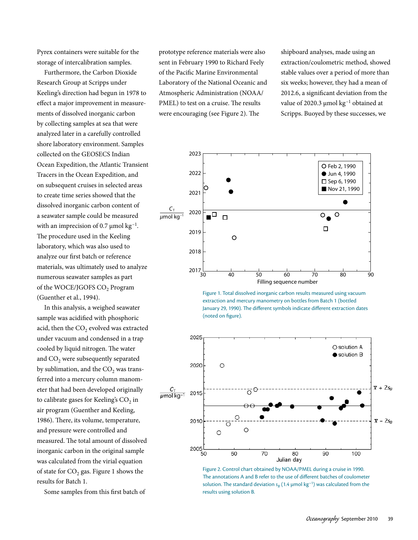Pyrex containers were suitable for the storage of intercalibration samples.

Furthermore, the Carbon Dioxide Research Group at Scripps under Keeling's direction had begun in 1978 to effect a major improvement in measurements of dissolved inorganic carbon by collecting samples at sea that were analyzed later in a carefully controlled shore laboratory environment. Samples collected on the GEOSECS Indian Ocean Expedition, the Atlantic Transient Tracers in the Ocean Expedition, and on subsequent cruises in selected areas to create time series showed that the dissolved inorganic carbon content of a seawater sample could be measured with an imprecision of 0.7  $\mu$ mol kg<sup>-1</sup>. The procedure used in the Keeling laboratory, which was also used to analyze our first batch or reference materials, was ultimately used to analyze numerous seawater samples as part of the WOCE/JGOFS CO<sub>2</sub> Program (Guenther et al*.*, 1994).

In this analysis, a weighed seawater sample was acidified with phosphoric acid, then the CO<sub>2</sub> evolved was extracted under vacuum and condensed in a trap cooled by liquid nitrogen. The water and  $CO<sub>2</sub>$  were subsequently separated by sublimation, and the  $CO<sub>2</sub>$  was transferred into a mercury column manometer that had been developed originally to calibrate gases for Keeling's CO<sub>2</sub> in air program (Guenther and Keeling, 1986). There, its volume, temperature, and pressure were controlled and measured. The total amount of dissolved inorganic carbon in the original sample was calculated from the virial equation of state for CO<sub>2</sub> gas. Figure 1 shows the results for Batch 1.

Some samples from this first batch of

prototype reference materials were also sent in February 1990 to Richard Feely of the Pacific Marine Environmental Laboratory of the National Oceanic and Atmospheric Administration (NOAA/ PMEL) to test on a cruise. The results were encouraging (see Figure 2). The

shipboard analyses, made using an extraction/coulometric method, showed stable values over a period of more than six weeks; however, they had a mean of 2012.6, a significant deviation from the value of 2020.3  $\mu$ mol kg<sup>-1</sup> obtained at Scripps. Buoyed by these successes, we



Figure 1. Total dissolved inorganic carbon results measured using vacuum extraction and mercury manometry on bottles from Batch 1 (bottled January 29, 1990). The different symbols indicate different extraction dates (noted on figure).



Figure 2. Control chart obtained by NOAA/PMEL during a cruise in 1990. The annotations A and B refer to the use of different batches of coulometer solution. The standard deviation  $s_B$  (1.4  $\mu$ mol kg<sup>-1</sup>) was calculated from the results using solution B.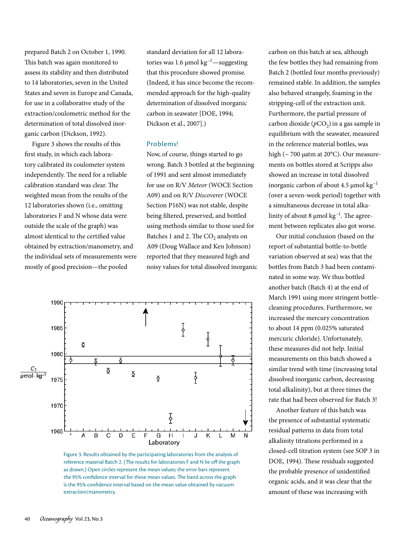prepared Batch 2 on October 1, 1990. This batch was again monitored to assess its stability and then distributed to 14 laboratories, seven in the United States and seven in Europe and Canada, for use in a collaborative study of the extraction/coulometric method for the determination of total dissolved inorganic carbon (Dickson, 1992).

Figure 3 shows the results of this first study, in which each laboratory calibrated its coulometer system independently. The need for a reliable calibration standard was clear. The weighted mean from the results of the 12 laboratories shown (i.e., omitting laboratories F and N whose data were outside the scale of the graph) was almost identical to the certified value obtained by extraction/manometry, and the individual sets of measurements were mostly of good precision—the pooled

standard deviation for all 12 laboratories was 1.6  $\mu$ mol kg<sup>-1</sup>—suggesting that this procedure showed promise. (Indeed, it has since become the recommended approach for the high-quality determination of dissolved inorganic carbon in seawater [DOE, 1994; Dickson et al., 2007].)

#### Problems!

Now, of course, things started to go wrong. Batch 3 bottled at the beginning of 1991 and sent almost immediately for use on R/V *Meteor* (WOCE Section A09) and on R/V *Discoverer* (WOCE Section P16N) was not stable, despite being filtered, preserved, and bottled using methods similar to those used for Batches 1 and 2. The  $CO<sub>2</sub>$  analysts on A09 (Doug Wallace and Ken Johnson) reported that they measured high and noisy values for total dissolved inorganic



Figure 3. Results obtained by the participating laboratories from the analysis of reference material Batch 2. (The results for laboratories F and N lie off the graph as drawn.) Open circles represent the mean values; the error bars represent the 95% confidence interval for these mean values. The band across the graph is the 95% confidence interval based on the mean value obtained by vacuum extraction/manometry.

carbon on this batch at sea, although the few bottles they had remaining from Batch 2 (bottled four months previously) remained stable. In addition, the samples also behaved strangely, foaming in the stripping-cell of the extraction unit. Furthermore, the partial pressure of carbon dioxide  $(pCO<sub>2</sub>)$  in a gas sample in equilibrium with the seawater, measured in the reference material bottles, was high (~ 700 µatm at 20°C). Our measurements on bottles stored at Scripps also showed an increase in total dissolved inorganic carbon of about 4.5  $\mu$ mol kg<sup>-1</sup> (over a seven-week period) together with a simultaneous decrease in total alkalinity of about 8  $\mu$ mol kg<sup>-1</sup>. The agreement between replicates also got worse.

Our initial conclusion (based on the report of substantial bottle-to-bottle variation observed at sea) was that the bottles from Batch 3 had been contaminated in some way. We thus bottled another batch (Batch 4) at the end of March 1991 using more stringent bottlecleaning procedures. Furthermore, we increased the mercury concentration to about 14 ppm (0.025% saturated mercuric chloride). Unfortunately, these measures did not help. Initial measurements on this batch showed a similar trend with time (increasing total dissolved inorganic carbon, decreasing total alkalinity), but at three times the rate that had been observed for Batch 3!

Another feature of this batch was the presence of substantial systematic residual patterns in data from total alkalinity titrations performed in a closed-cell titration system (see SOP 3 in DOE, 1994). These residuals suggested the probable presence of unidentified organic acids, and it was clear that the amount of these was increasing with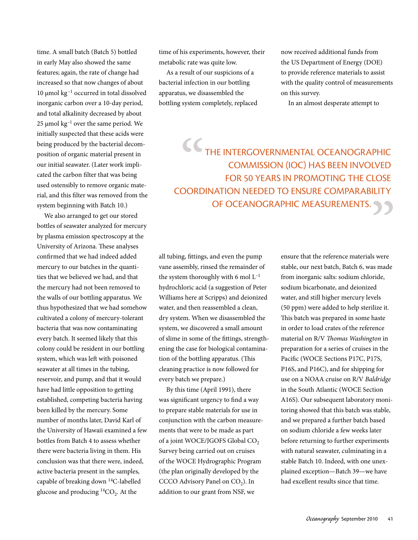time. A small batch (Batch 5) bottled in early May also showed the same features; again, the rate of change had increased so that now changes of about 10  $\mu$ mol kg<sup>-1</sup> occurred in total dissolved inorganic carbon over a 10-day period, and total alkalinity decreased by about 25  $\mu$ mol kg<sup>-1</sup> over the same period. We initially suspected that these acids were being produced by the bacterial decomposition of organic material present in our initial seawater. (Later work implicated the carbon filter that was being used ostensibly to remove organic material, and this filter was removed from the system beginning with Batch 10.)

We also arranged to get our stored bottles of seawater analyzed for mercury by plasma emission spectroscopy at the University of Arizona. These analyses confirmed that we had indeed added mercury to our batches in the quantities that we believed we had, and that the mercury had not been removed to the walls of our bottling apparatus. We thus hypothesized that we had somehow cultivated a colony of mercury-tolerant bacteria that was now contaminating every batch. It seemed likely that this colony could be resident in our bottling system, which was left with poisoned seawater at all times in the tubing, reservoir, and pump, and that it would have had little opposition to getting established, competing bacteria having been killed by the mercury. Some number of months later, David Karl of the University of Hawaii examined a few bottles from Batch 4 to assess whether there were bacteria living in them. His conclusion was that there were, indeed, active bacteria present in the samples, capable of breaking down 14C-labelled glucose and producing  ${}^{14}CO_{2}$ . At the

time of his experiments, however, their metabolic rate was quite low.

As a result of our suspicions of a bacterial infection in our bottling apparatus, we disassembled the bottling system completely, replaced now received additional funds from the US Department of Energy (DOE) to provide reference materials to assist with the quality control of measurements on this survey.

In an almost desperate attempt to

CC<br>OORD The Intergovernmental Oceanographic Commission (IOC) has been involved FOR 50 YEARS IN PROMOTING THE CLOSE coordination needed to ensure comparability OF OCEANOGRAPHIC MEASUREMENTS.

all tubing, fittings, and even the pump vane assembly, rinsed the remainder of the system thoroughly with 6 mol  $L^{-1}$ hydrochloric acid (a suggestion of Peter Williams here at Scripps) and deionized water, and then reassembled a clean, dry system. When we disassembled the system, we discovered a small amount of slime in some of the fittings, strengthening the case for biological contamination of the bottling apparatus. (This cleaning practice is now followed for every batch we prepare.)

By this time (April 1991), there was significant urgency to find a way to prepare stable materials for use in conjunction with the carbon measurements that were to be made as part of a joint WOCE/JGOFS Global CO<sub>2</sub> Survey being carried out on cruises of the WOCE Hydrographic Program (the plan originally developed by the CCCO Advisory Panel on CO<sub>2</sub>). In addition to our grant from NSF, we

ensure that the reference materials were stable, our next batch, Batch 6, was made from inorganic salts: sodium chloride, sodium bicarbonate, and deionized water, and still higher mercury levels (50 ppm) were added to help sterilize it. This batch was prepared in some haste in order to load crates of the reference material on R/V *Thomas Washington* in preparation for a series of cruises in the Pacific (WOCE Sections P17C, P17S, P16S, and P16C), and for shipping for use on a NOAA cruise on R/V *Baldridge*  in the South Atlantic (WOCE Section A16S). Our subsequent laboratory monitoring showed that this batch was stable, and we prepared a further batch based on sodium chloride a few weeks later before returning to further experiments with natural seawater, culminating in a stable Batch 10. Indeed, with one unexplained exception—Batch 39—we have had excellent results since that time.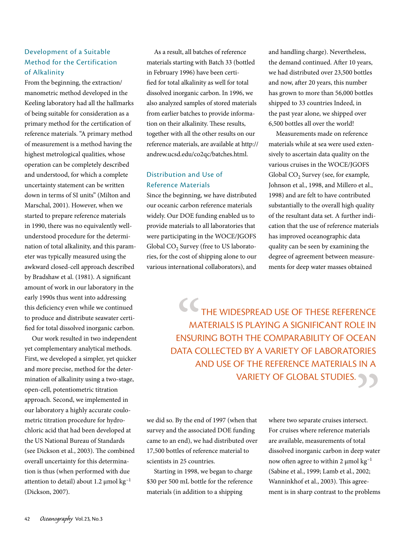# Development of a Suitable Method for the Certification of Alkalinity

From the beginning, the extraction/ manometric method developed in the Keeling laboratory had all the hallmarks of being suitable for consideration as a primary method for the certification of reference materials. "A primary method of measurement is a method having the highest metrological qualities, whose operation can be completely described and understood, for which a complete uncertainty statement can be written down in terms of SI units" (Milton and Marschal, 2001). However, when we started to prepare reference materials in 1990, there was no equivalently wellunderstood procedure for the determination of total alkalinity, and this parameter was typically measured using the awkward closed-cell approach described by Bradshaw et al. (1981). A significant amount of work in our laboratory in the early 1990s thus went into addressing this deficiency even while we continued to produce and distribute seawater certified for total dissolved inorganic carbon.

Our work resulted in two independent yet complementary analytical methods. First, we developed a simpler, yet quicker and more precise, method for the determination of alkalinity using a two-stage, open-cell, potentiometric titration approach. Second, we implemented in our laboratory a highly accurate coulometric titration procedure for hydrochloric acid that had been developed at the US National Bureau of Standards (see Dickson et al*.*, 2003). The combined overall uncertainty for this determination is thus (when performed with due attention to detail) about 1.2  $\mu$ mol kg<sup>-1</sup> (Dickson, 2007).

As a result, all batches of reference materials starting with Batch 33 (bottled in February 1996) have been certified for total alkalinity as well for total dissolved inorganic carbon. In 1996, we also analyzed samples of stored materials from earlier batches to provide information on their alkalinity. These results, together with all the other results on our reference materials, are available at http:// andrew.ucsd.edu/co2qc/batches.html.

# Distribution and Use of Reference Materials

Since the beginning, we have distributed our oceanic carbon reference materials widely. Our DOE funding enabled us to provide materials to all laboratories that were participating in the WOCE/JGOFS Global CO<sub>2</sub> Survey (free to US laboratories, for the cost of shipping alone to our various international collaborators), and

and handling charge). Nevertheless, the demand continued. After 10 years, we had distributed over 23,500 bottles and now, after 20 years, this number has grown to more than 56,000 bottles shipped to 33 countries Indeed, in the past year alone, we shipped over 6,500 bottles all over the world!

Measurements made on reference materials while at sea were used extensively to ascertain data quality on the various cruises in the WOCE/JGOFS Global CO<sub>2</sub> Survey (see, for example, Johnson et al., 1998, and Millero et al., 1998) and are felt to have contributed substantially to the overall high quality of the resultant data set. A further indication that the use of reference materials has improved oceanographic data quality can be seen by examining the degree of agreement between measurements for deep water masses obtained

CC<br>
MA<br>
ENSUR<br>
ATA C The widespread use of these reference materials is playing a significant role in ensuring both the comparability of ocean DATA COLLECTED BY A VARIETY OF LABORATORIES and use of the reference materials in a **VARIETY OF GLOBAL STUDIES.** 

we did so. By the end of 1997 (when that survey and the associated DOE funding came to an end), we had distributed over 17,500 bottles of reference material to scientists in 25 countries.

Starting in 1998, we began to charge \$30 per 500 mL bottle for the reference materials (in addition to a shipping

where two separate cruises intersect. For cruises where reference materials are available, measurements of total dissolved inorganic carbon in deep water now often agree to within 2  $\mu$ mol kg<sup>-1</sup> (Sabine et al., 1999; Lamb et al., 2002; Wanninkhof et al., 2003). This agreement is in sharp contrast to the problems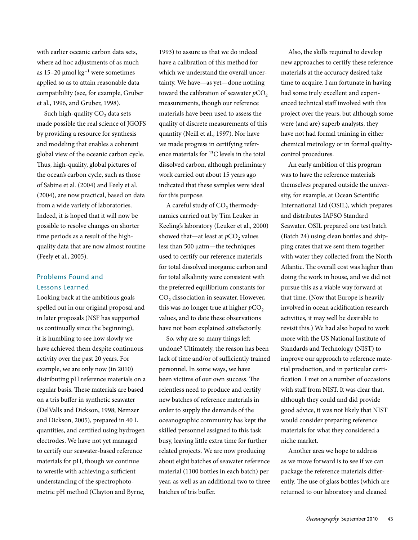with earlier oceanic carbon data sets, where ad hoc adjustments of as much as 15–20  $\mu$ mol kg<sup>-1</sup> were sometimes applied so as to attain reasonable data compatibility (see, for example, Gruber et al., 1996, and Gruber, 1998).

Such high-quality CO<sub>2</sub> data sets made possible the real science of JGOFS by providing a resource for synthesis and modeling that enables a coherent global view of the oceanic carbon cycle. Thus, high-quality, global pictures of the ocean's carbon cycle, such as those of Sabine et al*.* (2004) and Feely et al. (2004), are now practical, based on data from a wide variety of laboratories. Indeed, it is hoped that it will now be possible to resolve changes on shorter time periods as a result of the highquality data that are now almost routine (Feely et al*.*, 2005).

# Problems Found and Lessons Learned

Looking back at the ambitious goals spelled out in our original proposal and in later proposals (NSF has supported us continually since the beginning), it is humbling to see how slowly we have achieved them despite continuous activity over the past 20 years. For example, we are only now (in 2010) distributing pH reference materials on a regular basis. These materials are based on a tris buffer in synthetic seawater (DelValls and Dickson, 1998; Nemzer and Dickson, 2005), prepared in 40 L quantities, and certified using hydrogen electrodes. We have not yet managed to certify our seawater-based reference materials for pH, though we continue to wrestle with achieving a sufficient understanding of the spectrophotometric pH method (Clayton and Byrne,

1993) to assure us that we do indeed have a calibration of this method for which we understand the overall uncertainty. We have—as yet—done nothing toward the calibration of seawater  $pCO<sub>2</sub>$ measurements, though our reference materials have been used to assess the quality of discrete measurements of this quantity (Neill et al., 1997). Nor have we made progress in certifying reference materials for 13C levels in the total dissolved carbon, although preliminary work carried out about 15 years ago indicated that these samples were ideal for this purpose.

A careful study of CO<sub>2</sub> thermodynamics carried out by Tim Leuker in Keeling's laboratory (Leuker et al., 2000) showed that—at least at  $pCO<sub>2</sub>$  values less than 500 µatm—the techniques used to certify our reference materials for total dissolved inorganic carbon and for total alkalinity were consistent with the preferred equilibrium constants for CO<sub>2</sub> dissociation in seawater. However, this was no longer true at higher  $pCO<sub>2</sub>$ values, and to date these observations have not been explained satisfactorily.

So, why are so many things left undone? Ultimately, the reason has been lack of time and/or of sufficiently trained personnel. In some ways, we have been victims of our own success. The relentless need to produce and certify new batches of reference materials in order to supply the demands of the oceanographic community has kept the skilled personnel assigned to this task busy, leaving little extra time for further related projects. We are now producing about eight batches of seawater reference material (1100 bottles in each batch) per year, as well as an additional two to three batches of tris buffer.

Also, the skills required to develop new approaches to certify these reference materials at the accuracy desired take time to acquire. I am fortunate in having had some truly excellent and experienced technical staff involved with this project over the years, but although some were (and are) superb analysts, they have not had formal training in either chemical metrology or in formal qualitycontrol procedures.

An early ambition of this program was to have the reference materials themselves prepared outside the university, for example, at Ocean Scientific International Ltd (OSIL), which prepares and distributes IAPSO Standard Seawater. OSIL prepared one test batch (Batch 24) using clean bottles and shipping crates that we sent them together with water they collected from the North Atlantic. The overall cost was higher than doing the work in house, and we did not pursue this as a viable way forward at that time. (Now that Europe is heavily involved in ocean acidification research activities, it may well be desirable to revisit this.) We had also hoped to work more with the US National Institute of Standards and Technology (NIST) to improve our approach to reference material production, and in particular certification. I met on a number of occasions with staff from NIST. It was clear that, although they could and did provide good advice, it was not likely that NIST would consider preparing reference materials for what they considered a niche market.

Another area we hope to address as we move forward is to see if we can package the reference materials differently. The use of glass bottles (which are returned to our laboratory and cleaned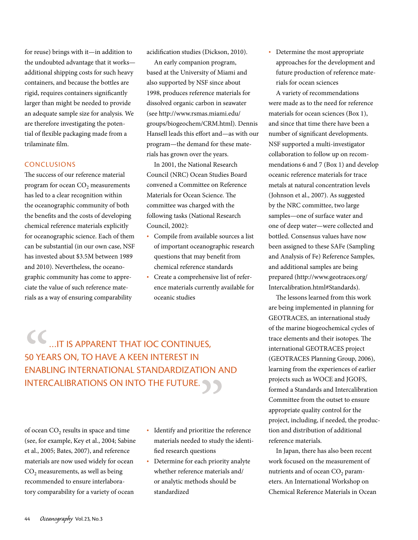for reuse) brings with it—in addition to the undoubted advantage that it works additional shipping costs for such heavy containers, and because the bottles are rigid, requires containers significantly larger than might be needed to provide an adequate sample size for analysis. We are therefore investigating the potential of flexible packaging made from a trilaminate film.

## **CONCLUSIONS**

The success of our reference material program for ocean  $CO<sub>2</sub>$  measurements has led to a clear recognition within the oceanographic community of both the benefits and the costs of developing chemical reference materials explicitly for oceanographic science. Each of them can be substantial (in our own case, NSF has invested about \$3.5M between 1989 and 2010). Nevertheless, the oceanographic community has come to appreciate the value of such reference materials as a way of ensuring comparability

acidification studies (Dickson, 2010).

An early companion program, based at the University of Miami and also supported by NSF since about 1998, produces reference materials for dissolved organic carbon in seawater (see http://www.rsmas.miami.edu/ groups/biogeochem/CRM.html). Dennis Hansell leads this effort and—as with our program—the demand for these materials has grown over the years.

In 2001, the National Research Council (NRC) Ocean Studies Board convened a Committee on Reference Materials for Ocean Science. The committee was charged with the following tasks (National Research Council, 2002):

- • Compile from available sources a list of important oceanographic research questions that may benefit from chemical reference standards
- • Create a comprehensive list of reference materials currently available for oceanic studies

CC<br>
50 YEA<br>
ENABL<br>
INTER …It is apparent that IOC continues, 50 years on, to have a keen interest in enabling international standardization and INTERCALIBRATIONS ON INTO THE FUTURE.

of ocean  $CO<sub>2</sub>$  results in space and time (see, for example, Key et al., 2004; Sabine et al., 2005; Bates, 2007), and reference materials are now used widely for ocean CO<sub>2</sub> measurements, as well as being recommended to ensure interlaboratory comparability for a variety of ocean

- • Identify and prioritize the reference materials needed to study the identified research questions
- Determine for each priority analyte whether reference materials and/ or analytic methods should be standardized

• Determine the most appropriate approaches for the development and future production of reference materials for ocean sciences

A variety of recommendations were made as to the need for reference materials for ocean sciences (Box 1), and since that time there have been a number of significant developments. NSF supported a multi-investigator collaboration to follow up on recommendations 6 and 7 (Box 1) and develop oceanic reference materials for trace metals at natural concentration levels (Johnson et al., 2007). As suggested by the NRC committee, two large samples—one of surface water and one of deep water—were collected and bottled. Consensus values have now been assigned to these SAFe (Sampling and Analysis of Fe) Reference Samples, and additional samples are being prepared (http://www.geotraces.org/ Intercalibration.html#Standards).

The lessons learned from this work are being implemented in planning for GEOTRACES, an international study of the marine biogeochemical cycles of trace elements and their isotopes. The international GEOTRACES project (GEOTRACES Planning Group, 2006), learning from the experiences of earlier projects such as WOCE and JGOFS, formed a Standards and Intercalibration Committee from the outset to ensure appropriate quality control for the project, including, if needed, the production and distribution of additional reference materials.

In Japan, there has also been recent work focused on the measurement of nutrients and of ocean  $CO<sub>2</sub>$  parameters. An International Workshop on Chemical Reference Materials in Ocean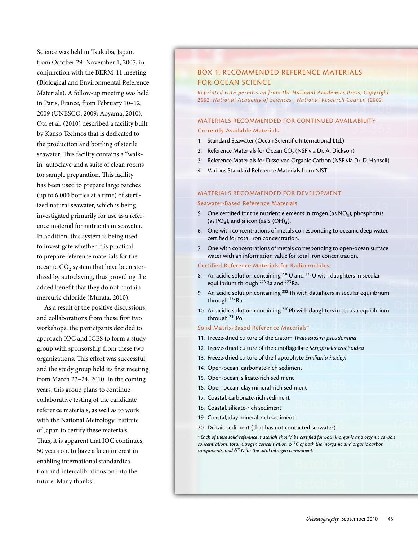Science was held in Tsukuba, Japan, from October 29–November 1, 2007, in conjunction with the BERM-11 meeting (Biological and Environmental Reference Materials). A follow-up meeting was held in Paris, France, from February 10–12, 2009 (UNESCO, 2009; Aoyama, 2010). Ota et al. (2010) described a facility built by Kanso Technos that is dedicated to the production and bottling of sterile seawater. This facility contains a "walkin" autoclave and a suite of clean rooms for sample preparation. This facility has been used to prepare large batches (up to 6,000 bottles at a time) of sterilized natural seawater, which is being investigated primarily for use as a reference material for nutrients in seawater. In addition, this system is being used to investigate whether it is practical to prepare reference materials for the oceanic  $CO<sub>2</sub>$  system that have been sterilized by autoclaving, thus providing the added benefit that they do not contain mercuric chloride (Murata, 2010).

As a result of the positive discussions and collaborations from these first two workshops, the participants decided to approach IOC and ICES to form a study group with sponsorship from these two organizations. This effort was successful, and the study group held its first meeting from March 23–24, 2010. In the coming years, this group plans to continue collaborative testing of the candidate reference materials, as well as to work with the National Metrology Institute of Japan to certify these materials. Thus, it is apparent that IOC continues, 50 years on, to have a keen interest in enabling international standardization and intercalibrations on into the future. Many thanks!

# Box 1. Recommended Reference Materials for Ocean Science

*Reprinted with permission from the National Academies Press, Copyright 2002, National Academy of Sciences | National Research Council (2002)*

## Materials Recommended for Continued Availability

#### Currently Available Materials

- 1. Standard Seawater (Ocean Scientific International Ltd.)
- 2. Reference Materials for Ocean  $CO<sub>2</sub>$  (NSF via Dr. A. Dickson)
- 3. Reference Materials for Dissolved Organic Carbon (NSF via Dr. D. Hansell)
- 4. Various Standard Reference Materials from NIST

# Materials Recommended for Development

#### Seawater-Based Reference Materials

- 5. One certified for the nutrient elements: nitrogen (as  $NO<sub>3</sub>$ ), phosphorus (as PO<sub>4</sub>), and silicon (as Si(OH)<sub>4</sub>).
- 6. One with concentrations of metals corresponding to oceanic deep water, certified for total iron concentration.
- 7. One with concentrations of metals corresponding to open-ocean surface water with an information value for total iron concentration.

### Certified Reference Materials for Radionuclides

- 8. An acidic solution containing <sup>238</sup>U and <sup>235</sup>U with daughters in secular equilibrium through <sup>226</sup>Ra and <sup>223</sup>Ra.
- 9. An acidic solution containing  $232$  Th with daughters in secular equilibrium through  $^{224}$ Ra.
- 10 An acidic solution containing <sup>210</sup>Pb with daughters in secular equilibrium through <sup>210</sup>Po.

#### Solid Matrix-Based Reference Materials\*

- 11. Freeze-dried culture of the diatom *Thalassiosira pseudonana*
- 12. Freeze-dried culture of the dinoflagellate *Scrippsiella trochoidea*
- 13. Freeze-dried culture of the haptophyte *Emiliania huxleyi*
- 14. Open-ocean, carbonate-rich sediment
- 15. Open-ocean, silicate-rich sediment
- 16. Open-ocean, clay mineral-rich sediment
- 17. Coastal, carbonate-rich sediment
- 18. Coastal, silicate-rich sediment
- 19. Coastal, clay mineral-rich sediment
- 20. Deltaic sediment (that has not contacted seawater)

\* *Each of these solid reference materials should be certified for both inorganic and organic carbon concentrations, total nitrogen concentration, δ13C of both the inorganic and organic carbon components, and δ15N for the total nitrogen component.*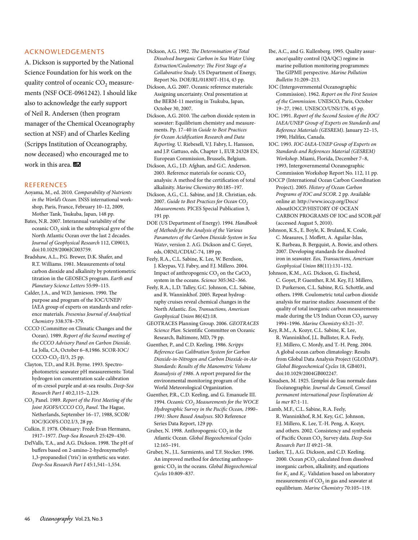#### Acknowledgements

A. Dickson is supported by the National Science Foundation for his work on the quality control of oceanic  $CO<sub>2</sub>$  measurements (NSF OCE-0961242). I should like also to acknowledge the early support of Neil R. Andersen (then program manager of the Chemical Oceanography section at NSF) and of Charles Keeling (Scripps Institution of Oceanography, now deceased) who encouraged me to work in this area.

#### **REFERENCES**

- Aoyama, M., ed. 2010. *Comparability of Nutrients in the World's Ocean.* INSS international workshop, Paris, France, February 10–12, 2009, Mother Tank, Tsukuba, Japan, 148 pp.
- Bates, N.R. 2007. Interannual variability of the oceanic  $CO<sub>2</sub>$  sink in the subtropical gyre of the North Atlantic Ocean over the last 2 decades. *Journal of Geophysical Research* 112, C09013, doi:10.1029/2006JC003759.
- Bradshaw, A.L., P.G. Brewer, D.K. Shafer, and R.T. Williams. 1981. Measurements of total carbon dioxide and alkalinity by potentiometric titration in the GEOSECS program. *Earth and Planetary Science Letters* 55:99–115.
- Calder, J.A., and W.D. Jamieson. 1990. The purpose and program of the IOC/UNEP/ IAEA group of experts on standards and reference materials. *Fresenius Journal of Analytical Chemistry* 338:378–379.
- CCCO (Committee on Climatic Changes and the Ocean). 1989. *Report of the Second meeting of the CCCO Advisory Panel on Carbon Dioxide*. La Jolla, CA, October 6–8,1986. SCOR-IOC/  $CCCO-CO<sub>2</sub>-II/3$ , 25 pp.
- Clayton, T.D., and R.H. Byrne. 1993. Spectrophotometric seawater pH measurements: Total hydrogen ion concentration scale calibration of m-cresol purple and at-sea results. *Deep-Sea Research Part I* 40:2,115–2,129.
- CO<sub>2</sub> Panel. 1989. Report of the First Meeting of the *Joint JGOFS/CCCO CO2 Panel*. The Hague, Netherlands, September 16–17, 1988, SCOR/ IOC/JGOFS.CO2.I/3, 28 pp.
- Culkin, F. 1978. Obituary: Frede Evan Hermann, 1917–1977. *Deep-Sea Research* 25:429–430.
- DelValls, T.A., and A.G. Dickson. 1998. The pH of buffers based on 2-amino-2-hydroxymethyl-1,3-propanediol ('tris') in synthetic sea water. *Deep-Sea Research Part I* 45:1,541–1,554.
- Dickson, A.G. 1992. *The Determination of Total Dissolved Inorganic Carbon in Sea Water Using Extraction/Coulometry: The First Stage of a Collaborative Study*. US Department of Energy, Report No. DOE/RL/01830T–H14, 43 pp.
- Dickson, A.G. 2007. Oceanic reference materials: Assigning uncertainty. Oral presentation at the BERM-11 meeting in Tsukuba, Japan, October 30, 2007.
- Dickson, A.G. 2010. The carbon dioxide system in seawater: Equilibrium chemistry and measurements. Pp. 17–40 in *Guide to Best Practices for Ocean Acidification Research and Data Reporting.* U. Riebesell, V.J. Fabry, L. Hansson, and J.P. Gattuso, eds, Chapter 1, EUR 24328 EN, European Commission, Brussels, Belgium.
- Dickson, A.G., J.D. Afghan, and G.C. Anderson. 2003. Reference materials for oceanic CO<sub>2</sub> analysis: A method for the certification of total alkalinity. *Marine Chemistry* 80:185–197.
- Dickson, A.G., C.L. Sabine, and J.R. Christian, eds. 2007. Guide to Best Practices for Ocean CO<sub>2</sub> *Measurements.* PICES Special Publication 3, 191 pp.
- DOE (US Department of Energy). 1994. *Handbook of Methods for the Analysis of the Various Parameters of the Carbon Dioxide System in Sea Water*, version 2. A.G. Dickson and C. Goyet, eds, ORNL/CDIAC-74, 189 pp.
- Feely, R.A., C.L. Sabine, K. Lee, W. Berelson, J. Kleypas, V.J. Fabry, and F.J. Millero. 2004. Impact of anthropogenic  $CO<sub>2</sub>$  on the CaCO<sub>3</sub> system in the oceans. *Science* 305:362–366.
- Feely, R.A., L.D. Talley, G.C. Johnson, C.L. Sabine, and R. Wanninkhof. 2005. Repeat hydrography cruises reveal chemical changes in the North Atlantic. *Eos, Transactions, American Geophysical Union* 86(42):18.
- GEOTRACES Planning Group. 2006. *GEOTRACES Science Plan.* Scientific Committee on Oceanic Research, Baltimore, MD, 79 pp.
- Guenther, P., and C.D. Keeling. 1986. *Scripps Reference Gas Calibration System for Carbon Dioxide-in-Nitrogen and Carbon Dioxide-in-Air Standards: Results of the Manometric Volume Reanalysis of 1986*. A report prepared for the environmental monitoring program of the World Meteorological Organization.
- Guenther, P.R., C.D. Keeling, and G. Emanuele III. 1994. Oceanic CO<sub>2</sub> Measurements for the WOCE *Hydrographic Survey in the Pacific Ocean, 1990– 1991: Shore Based Analyses*. SIO Reference Series Data Report, 129 pp.

Gruber, N. 1998. Anthropogenic  $CO<sub>2</sub>$  in the Atlantic Ocean. *Global Biogeochemical Cycles* 12:165–191.

Gruber, N., J.L. Sarmiento, and T.F. Stocker. 1996. An improved method for detecting anthropogenic CO<sub>2</sub> in the oceans. *Global Biogeochemical Cycles* 10:809–837.

- Ibe, A.C., and G. Kullenberg. 1995. Quality assurance/quality control (QA/QC) regime in marine pollution monitoring programmes: The GIPME perspective. *Marine Pollution Bulletin* 31:209–213.
- IOC (Intergovernmental Oceanographic Commission). 1962. *Report on the First Session of the Commission*. UNESCO, Paris, October 19–27, 1961. UNESCO/UNS/176, 45 pp.
- IOC. 1991. *Report of the Second Session of the IOC/ IAEA/UNEP Group of Experts on Standards and Reference Materials (GESREM)*. January 22–15, 1990, Halifax, Canada.
- IOC. 1993*. IOC-IAEA-UNEP Group of Experts on Standards and References Material (GESREM) Workshop*. Miami, Florida, December 7–8, 1993, Intergovernmental Oceanographic Commission Workshop Report No. 112, 11 pp.
- IOCCP (International Ocean Carbon Coordination Project). 2005. *History of Ocean Carbon Programs of IOC and SCOR*. 2 pp. Available online at: http://www.ioccp.org/Docs/ AboutIOCCP/HISTORY OF OCEAN CARBON PROGRAMS OF IOC and SCOR.pdf (accessed August 5, 2010).
- Johnson, K.S., E. Boyle, K. Bruland, K. Coale, C. Measures, J. Moffett, A. Aguilar-Islas, K. Barbeau, B. Bergquist, A. Bowie, and others. 2007. Developing standards for dissolved iron in seawater. *Eos, Transactions, American Geophysical Union* 88(11):131–132.
- Johnson, K.M., A.G. Dickson, G. Eischeid, C. Goyet, P. Guenther, R.M. Key, F.J. Millero, D. Purkerson, C.L. Sabine, R.G. Schottle, and others. 1998. Coulometric total carbon dioxide analysis for marine studies: Assessment of the quality of total inorganic carbon measurements made during the US Indian Ocean  $CO<sub>2</sub>$  survey 1994–1996. *Marine Chemistry* 63:21–37.
- Key, R.M., A. Kozyr, C.L. Sabine, K. Lee, R. Wanninkhof, J.L. Bullister, R.A. Feely, F.J. Millero, C. Mordy, and T.-H. Peng. 2004. A global ocean carbon climatology: Results from Global Data Analysis Project (GLODAP). *Global Biogeochemical Cycles* 18, GB4031, doi:10.1029/2004GB002247.
- Knudsen, M. 1925. L'emploi de l'eau normale dans I'océanographie. *Journal du Conseil, Conseil permanent international pour l'exploration de la mer* 87:1-11.
- Lamb, M.F., C.L. Sabine, R.A. Feely, R. Wanninkhof, R.M. Key, G.C. Johnson, F.J. Millero, K. Lee, T.-H. Peng, A. Kozyr, and others. 2002. Consistency and synthesis of Pacific Ocean CO2 Survey data. *Deep-Sea Research Part II* 49:21–58.
- Lueker, T.J., A.G. Dickson, and C.D. Keeling. 2000. Ocean  $pCO<sub>2</sub>$  calculated from dissolved inorganic carbon, alkalinity, and equations for  $K_1$  and  $K_2$ : Validation based on laboratory measurements of  $CO<sub>2</sub>$  in gas and seawater at equilibrium. *Marine Chemistry* 70:105–119.